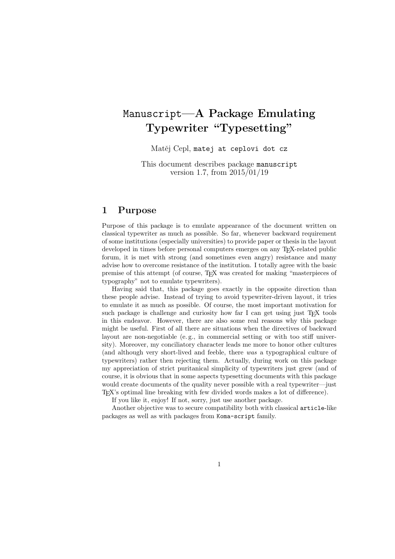## Manuscript**—A Package Emulating Typewriter "Typesetting"**

Matěj Cepl, matej at ceplovi dot cz

This document describes package manuscript version 1.7, from 2015/01/19

#### **1 Purpose**

Purpose of this package is to emulate appearance of the document written on classical typewriter as much as possible. So far, whenever backward requirement of some institutions (especially universities) to provide paper or thesis in the layout developed in times before personal computers emerges on any TEX-related public forum, it is met with strong (and sometimes even angry) resistance and many advise how to overcome resistance of the institution. I totally agree with the basic premise of this attempt (of course, TEX was created for making "masterpieces of typography" not to emulate typewriters).

Having said that, this package goes exactly in the opposite direction than these people advise. Instead of trying to avoid typewriter-driven layout, it tries to emulate it as much as possible. Of course, the most important motivation for such package is challenge and curiosity how far I can get using just T<sub>E</sub>X tools in this endeavor. However, there are also some real reasons why this package might be useful. First of all there are situations when the directives of backward layout are non-negotiable (e. g., in commercial setting or with too stiff university). Moreover, my conciliatory character leads me more to honor other cultures (and although very short-lived and feeble, there *was* a typographical culture of typewriters) rather then rejecting them. Actually, during work on this package my appreciation of strict puritanical simplicity of typewriters just grew (and of course, it is obvious that in some aspects typesetting documents with this package would create documents of the quality never possible with a real typewriter—just TEX's optimal line breaking with few divided words makes a lot of difference).

If you like it, enjoy! If not, sorry, just use another package.

Another objective was to secure compatibility both with classical article-like packages as well as with packages from Koma-script family.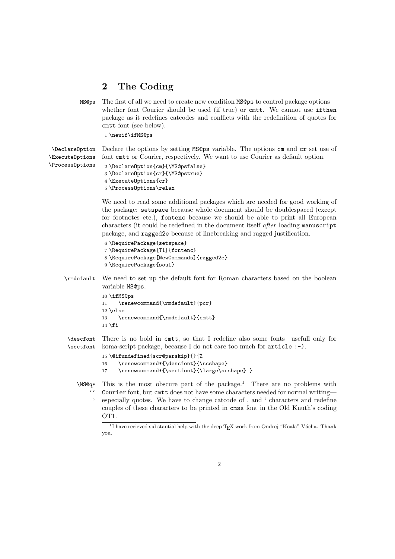### **2 The Coding**

MS@ps The first of all we need to create new condition MS@ps to control package options whether font Courier should be used (if true) or cmtt. We cannot use ifthen package as it redefines catcodes and conflicts with the redefinition of quotes for cmtt font (see below).

1 \newif\ifMS@ps

\DeclareOption \ExecuteOptions Declare the options by setting MS@ps variable. The options cm and cr set use of font cmtt or Courier, respectively. We want to use Courier as default option.

\ProcessOptions

```
2 \DeclareOption{cm}{\MS@psfalse}
3 \DeclareOption{cr}{\MS@pstrue}
4 \ExecuteOptions{cr}
5 \ProcessOptions\relax
```
We need to read some additional packages which are needed for good working of the package: setspace because whole document should be doublespaced (except for footnotes etc.), fontenc because we should be able to print all European characters (it could be redefined in the document itself *after* loading manuscript package, and ragged2e because of linebreaking and ragged justification.

```
6 \RequirePackage{setspace}
7 \RequirePackage[T1]{fontenc}
8 \RequirePackage[NewCommands]{ragged2e}
9 \RequirePackage{soul}
```

```
\rmdefault We need to set up the default font for Roman characters based on the boolean
            variable MS@ps.
```

```
10 \ifMS@ps
11 \renewcommand{\rmdefault}{pcr}
12 \else
13 \renewcommand{\rmdefault}{cmtt}
14 \setminus fi
```
\descfont \sectfont There is no bold in cmtt, so that I redefine also some fonts—usefull only for koma-script package, because I do not care too much for article :-).

```
15 \@ifundefined{scr@parskip}{}{%
```

```
16 \renewcommand*{\descfont}{\scshape}
```
- 17 \renewcommand\*{\sectfont}{\large\scshape} }
- $\M$ S@q\* This is the most obscure part of the package.<sup>1</sup> There are no problems with  $\ddot{\cdot}$ ' especially quotes. We have to change catcode of , and ' characters and redefine Courier font, but cmtt does not have some characters needed for normal writing couples of these characters to be printed in cmss font in the Old Knuth's coding OT1.

 $1$ I have recieved substantial help with the deep T<sub>E</sub>X work from Ondřej "Koala" Vácha. Thank you.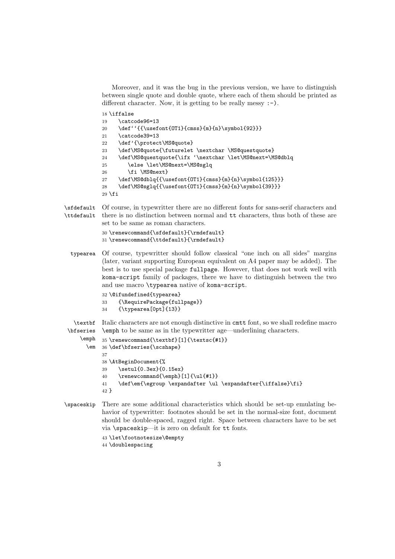```
Moreover, and it was the bug in the previous version, we have to distinguish
between single quote and double quote, where each of them should be printed as
different character. Now, it is getting to be really messy :-).
```

```
18 \iffalse
```

| 19 | \catcode96=13                                            |  |
|----|----------------------------------------------------------|--|
| 20 | \def''{{\usefont{0T1}{cmss}{m}{n}\symbol{92}}}           |  |
| 21 | \catcode39=13                                            |  |
| 22 | \def'{\protect\MS@quote}                                 |  |
| 23 | \def\MS@quote{\futurelet \nextchar \MS@questquote}       |  |
| 24 | \def\MS@questquote{\ifx '\nextchar \let\MS@next=\MS@dblq |  |
| 25 | \else \let\MS@next=\MS@sglq                              |  |
| 26 | \fi \MS@next}                                            |  |
| 27 | \def\MS@dblq{{\usefont{0T1}{cmss}{m}{n}\symbol{125}}}    |  |
| 28 | \def\MS@sglq{{\usefont{0T1}{cmss}{m}{n}\symbol{39}}}     |  |
|    | $29$ \fi                                                 |  |

\sfdefault Of course, in typewritter there are no different fonts for sans-serif characters and \ttdefault there is no distinction between normal and tt characters, thus both of these are set to be same as roman characters.

```
30 \renewcommand{\sfdefault}{\rmdefault}
31 \renewcommand{\ttdefault}{\rmdefault}
```
typearea Of course, typewritter should follow classical "one inch on all sides" margins (later, variant supporting European equivalent on A4 paper may be added). The best is to use special package fullpage. However, that does not work well with koma-script family of packages, there we have to distinguish between the two and use macro \typearea native of koma-script.

```
32 \@ifundefined{typearea}
33 {\RequirePackage{fullpage}}
34 {\typearea[0pt]{13}}
```
\textbf Italic characters are not enough distinctive in cmtt font, so we shall redefine macro \bfseries \emph to be same as in the typewritter age—underlining characters.

```
\emph
  \em 36 \def\bfseries{\scshape}
      35 \renewcommand{\textbf}[1]{\textsc{#1}}
      37
      38 \AtBeginDocument{%
      39 \setul{0.3ex}{0.15ex}
      40 \renewcommand{\emph}[1]{\ul{#1}}
      41 \def\em{\egroup \expandafter \ul \expandafter{\iffalse}\fi}
      42 }
```
\spaceskip There are some additional characteristics which should be set-up emulating behavior of typewritter: footnotes should be set in the normal-size font, document should be double-spaced, ragged right. Space between characters have to be set via \spaceskip—it is zero on default for tt fonts.

```
43 \let\footnotesize\@empty
44 \doublespacing
```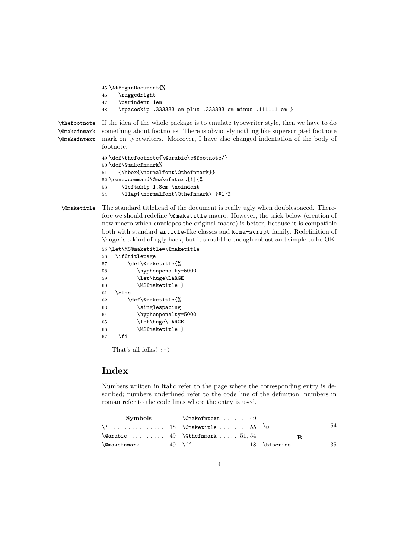```
45 \AtBeginDocument{%
46 \raggedright
47 \parindent 1em
48 \spaceskip .333333 em plus .333333 em minus .111111 em }
```
\thefootnote \@makefnmark \@makefntext If the idea of the whole package is to emulate typewriter style, then we have to do something about footnotes. There is obviously nothing like superscripted footnote mark on typewriters. Moreover, I have also changed indentation of the body of footnote.

```
49 \def\thefootnote{\@arabic\c@footnote/}
50 \def\@makefnmark%
51 {\hbox{\normalfont\@thefnmark}}
52 \renewcommand\@makefntext[1]{%
53 \leftskip 1.8em \noindent
54 \llap{\normalfont\@thefnmark\ }#1}%
```
\@maketitle The standard titlehead of the document is really ugly when doublespaced. Therefore we should redefine **\@maketitle** macro. However, the trick below (creation of new macro which envelopes the original macro) is better, because it is compatible both with standard article-like classes and koma-script family. Redefinition of \huge is a kind of ugly hack, but it should be enough robust and simple to be OK.

```
55 \let\MS@maketitle=\@maketitle
56 \if@titlepage
57 \def\@maketitle{%
58 \hyphenpenalty=5000
59 \let\huge\LARGE
60 \MS@maketitle }
61 \else
62 \def\@maketitle{%
63 \singlespacing
64 \hyphenpenalty=5000
65 \let\huge\LARGE
66 \MS@maketitle }
67 \fi
```
That's all folks!  $\hspace{0.1em}:\hspace{0.1em}\text{--}\hspace{0.1em}$ 

### **Index**

Numbers written in italic refer to the page where the corresponding entry is described; numbers underlined refer to the code line of the definition; numbers in roman refer to the code lines where the entry is used.

```
Symbols
\vee . . . . . . . . . . . . . . 18
\@arabic . . . . . . . . . 49
\@makefnmark . . . . . . 49
\'' . . . . . . . . . . . . . 18
\bfseries . . . . . . . . 35
                                 \@makefntext . . . . . . 49
                                \{\texttt{@maketitle \dots ... } 55\}\text{Cthefmark} . . . . . 51, 54
                                                                  \␣ . . . . . . . . . . . . . . 54
                                                                                B
```